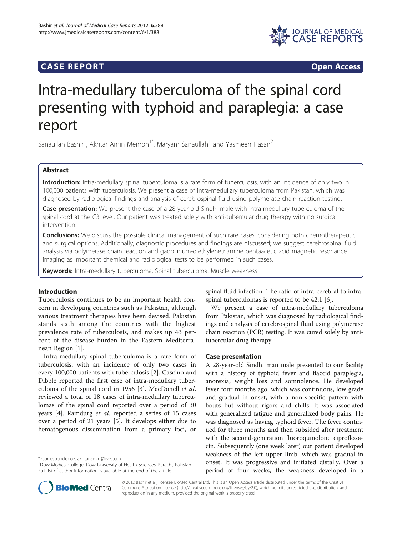## **CASE REPORT CASE REPORT**



# Intra-medullary tuberculoma of the spinal cord presenting with typhoid and paraplegia: a case report

Sanaullah Bashir<sup>1</sup>, Akhtar Amin Memon<sup>1\*</sup>, Maryam Sanaullah<sup>1</sup> and Yasmeen Hasan<sup>2</sup>

## Abstract

Introduction: Intra-medullary spinal tuberculoma is a rare form of tuberculosis, with an incidence of only two in 100,000 patients with tuberculosis. We present a case of intra-medullary tuberculoma from Pakistan, which was diagnosed by radiological findings and analysis of cerebrospinal fluid using polymerase chain reaction testing.

Case presentation: We present the case of a 28-year-old Sindhi male with intra-medullary tuberculoma of the spinal cord at the C3 level. Our patient was treated solely with anti-tubercular drug therapy with no surgical intervention.

**Conclusions:** We discuss the possible clinical management of such rare cases, considering both chemotherapeutic and surgical options. Additionally, diagnostic procedures and findings are discussed; we suggest cerebrospinal fluid analysis via polymerase chain reaction and gadolinium-diethylenetriamine pentaacetic acid magnetic resonance imaging as important chemical and radiological tests to be performed in such cases.

Keywords: Intra-medullary tuberculoma, Spinal tuberculoma, Muscle weakness

## Introduction

Tuberculosis continues to be an important health concern in developing countries such as Pakistan, although various treatment therapies have been devised. Pakistan stands sixth among the countries with the highest prevalence rate of tuberculosis, and makes up 43 percent of the disease burden in the Eastern Mediterranean Region [[1\]](#page-2-0).

Intra-medullary spinal tuberculoma is a rare form of tuberculosis, with an incidence of only two cases in every 100,000 patients with tuberculosis [[2\]](#page-3-0). Cascino and Dibble reported the first case of intra-medullary tuberculoma of the spinal cord in 1956 [[3\]](#page-3-0). MacDonell et al. reviewed a total of 18 cases of intra-medullary tuberculomas of the spinal cord reported over a period of 30 years [[4\]](#page-3-0). Ramdurg et al. reported a series of 15 cases over a period of 21 years [\[5](#page-3-0)]. It develops either due to hematogenous dissemination from a primary foci, or

\* Correspondence: [akhtar.amin@live.com](mailto:akhtar.amin@live.com) <sup>1</sup>



We present a case of intra-medullary tuberculoma from Pakistan, which was diagnosed by radiological findings and analysis of cerebrospinal fluid using polymerase chain reaction (PCR) testing. It was cured solely by antitubercular drug therapy.

## Case presentation

A 28-year-old Sindhi man male presented to our facility with a history of typhoid fever and flaccid paraplegia, anorexia, weight loss and somnolence. He developed fever four months ago, which was continuous, low grade and gradual in onset, with a non-specific pattern with bouts but without rigors and chills. It was associated with generalized fatigue and generalized body pains. He was diagnosed as having typhoid fever. The fever continued for three months and then subsided after treatment with the second-generation fluoroquinolone ciprofloxacin. Subsequently (one week later) our patient developed weakness of the left upper limb, which was gradual in onset. It was progressive and initiated distally. Over a period of four weeks, the weakness developed in a



© 2012 Bashir et al.; licensee BioMed Central Ltd. This is an Open Access article distributed under the terms of the Creative Commons Attribution License [\(http://creativecommons.org/licenses/by/2.0\)](http://creativecommons.org/licenses/by/2.0), which permits unrestricted use, distribution, and reproduction in any medium, provided the original work is properly cited.

<sup>&</sup>lt;sup>1</sup>Dow Medical College, Dow University of Health Sciences, Karachi, Pakistan Full list of author information is available at the end of the article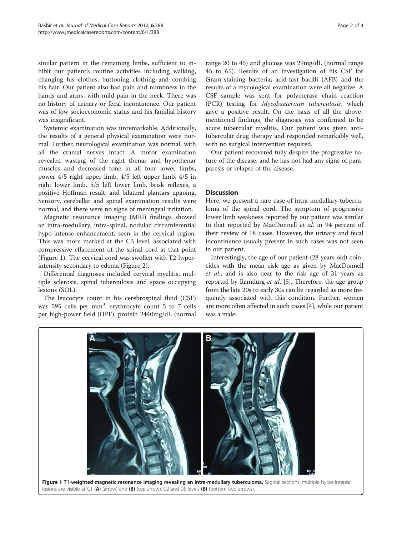similar pattern in the remaining limbs, sufficient to inhibit our patient's routine activities including walking, changing his clothes, buttoning clothing and combing his hair. Our patient also had pain and numbness in the hands and arms, with mild pain in the neck. There was no history of urinary or fecal incontinence. Our patient was of low socioeconomic status and his familial history was insignificant.

Systemic examination was unremarkable. Additionally, the results of a general physical examination were normal. Further, neurological examination was normal, with all the cranial nerves intact. A motor examination revealed wasting of the right thenar and hypothenar muscles and decreased tone in all four lower limbs, power 4/5 right upper limb, 4/5 left upper limb, 4/5 in right lower limb, 5/5 left lower limb, brisk reflexes, a positive Hoffman result, and bilateral plantars upgoing. Sensory, cerebellar and spinal examination results were normal, and there were no signs of meningeal irritation.

Magnetic resonance imaging (MRI) findings showed an intra-medullary, intra-spinal, nodular, circumferential hypo-intense enhancement, seen in the cervical region. This was more marked at the C3 level, associated with compressive effacement of the spinal cord at that point (Figure 1). The cervical cord was swollen with T2 hyperintensity secondary to edema (Figure [2\)](#page-2-0).

Differential diagnoses included cervical myelitis, multiple sclerosis, spinal tuberculosis and space occupying lesions (SOL).

The leucocyte count in his cerebrospinal fluid (CSF) was 595 cells per mm<sup>3</sup>, erythrocyte count 5 to 7 cells per high-power field (HPF), protein 2440mg/dL (normal

range 20 to 45) and glucose was 29mg/dL (normal range 45 to 65). Results of an investigation of his CSF for Gram-staining bacteria, acid-fast bacilli (AFB) and the results of a mycological examination were all negative. A CSF sample was sent for polymerase chain reaction (PCR) testing for Mycobacterium tuberculosis, which gave a positive result. On the basis of all the abovementioned findings, the diagnosis was confirmed to be acute tubercular myelitis. Our patient was given antitubercular drug therapy and responded remarkably well, with no surgical intervention required.

Our patient recovered fully despite the progressive nature of the disease, and he has not had any signs of paraparesis or relapse of the disease.

## **Discussion**

Here, we present a rare case of intra-medullary tuberculoma of the spinal cord. The symptom of progressive lower limb weakness reported by our patient was similar to that reported by MacDonnell et al. in 94 percent of their review of 18 cases. However, the urinary and fecal incontinence usually present in such cases was not seen in our patient.

Interestingly, the age of our patient (28 years old) coincides with the mean risk age as given by MacDonnell et al., and is also near to the risk age of 31 years as reported by Ramdurg *et al.* [\[5](#page-3-0)]. Therefore, the age group from the late 20s to early 30s can be regarded as more frequently associated with this condition. Further, women are more often affected in such cases [[4\]](#page-3-0), while our patient was a male.



Figure 1 T1-weighted magnetic resonance imaging revealing an intra-medullary tuberculoma. Sagittal sections; multiple hyper-intense lesions are visible at C1 (A) (arrow) and (B) (top arrow), C2 and C6 levels (B) (bottom two arrows).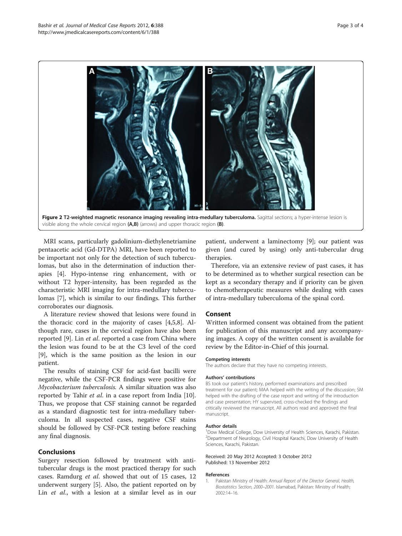<span id="page-2-0"></span>

visible along the whole cervical region (A,B) (arrows) and upper thoracic region (B).

MRI scans, particularly gadolinium-diethylenetriamine pentaacetic acid (Gd-DTPA) MRI, have been reported to be important not only for the detection of such tuberculomas, but also in the determination of induction therapies [[4\]](#page-3-0). Hypo-intense ring enhancement, with or without T2 hyper-intensity, has been regarded as the characteristic MRI imaging for intra-medullary tuberculomas [[7\]](#page-3-0), which is similar to our findings. This further corroborates our diagnosis.

A literature review showed that lesions were found in the thoracic cord in the majority of cases [\[4,5,8](#page-3-0)]. Although rare, cases in the cervical region have also been reported [[9\]](#page-3-0). Lin et al. reported a case from China where the lesion was found to be at the C3 level of the cord [[9\]](#page-3-0), which is the same position as the lesion in our patient.

The results of staining CSF for acid-fast bacilli were negative, while the CSF-PCR findings were positive for Mycobacterium tuberculosis. A similar situation was also reported by Tahir *et al.* in a case report from India [\[10](#page-3-0)]. Thus, we propose that CSF staining cannot be regarded as a standard diagnostic test for intra-medullary tuberculoma. In all suspected cases, negative CSF stains should be followed by CSF-PCR testing before reaching any final diagnosis.

## Conclusions

Surgery resection followed by treatment with antitubercular drugs is the most practiced therapy for such cases. Ramdurg et al. showed that out of 15 cases, 12 underwent surgery [\[5](#page-3-0)]. Also, the patient reported on by Lin et al., with a lesion at a similar level as in our

patient, underwent a laminectomy [\[9](#page-3-0)]; our patient was given (and cured by using) only anti-tubercular drug therapies.

Therefore, via an extensive review of past cases, it has to be determined as to whether surgical resection can be kept as a secondary therapy and if priority can be given to chemotherapeutic measures while dealing with cases of intra-medullary tuberculoma of the spinal cord.

#### Consent

Written informed consent was obtained from the patient for publication of this manuscript and any accompanying images. A copy of the written consent is available for review by the Editor-in-Chief of this journal.

#### Competing interests

The authors declare that they have no competing interests.

#### Authors' contributions

BS took our patient's history, performed examinations and prescribed treatment for our patient; MAA helped with the writing of the discussion; SM helped with the drafting of the case report and writing of the introduction and case presentation; HY supervised, cross-checked the findings and critically reviewed the manuscript. All authors read and approved the final manuscript.

#### Author details

<sup>1</sup>Dow Medical College, Dow University of Health Sciences, Karachi, Pakistan. 2 Department of Neurology, Civil Hospital Karachi, Dow University of Health Sciences, Karachi, Pakistan.

#### Received: 20 May 2012 Accepted: 3 October 2012 Published: 13 November 2012

#### References

1. Pakistan Ministry of Health: Annual Report of the Director General, Health, Biostatistics Section, 2000–2001. Islamabad, Pakistan: Ministry of Health; 2002:14–16.